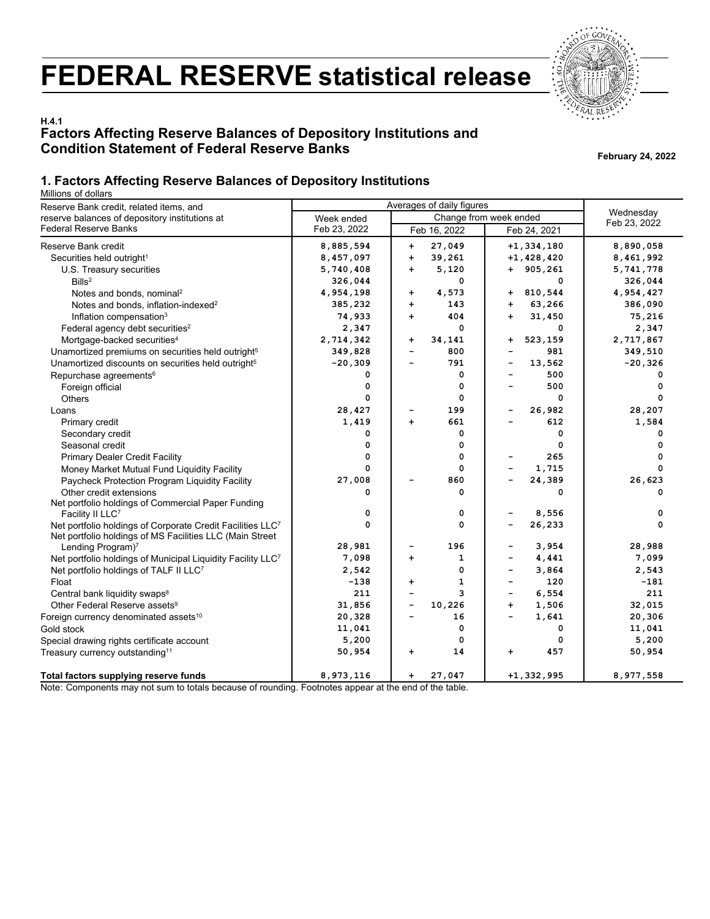# **FEDERAL RESERVE statistical release**



# **H.4.1 Factors Affecting Reserve Balances of Depository Institutions and Condition Statement of Federal Reserve Banks February 24, 2022**

## **1. Factors Affecting Reserve Balances of Depository Institutions**

Millions of dollars

| Reserve Bank credit, related items, and                                                                                | Averages of daily figures |                                    |                                 |              |  |
|------------------------------------------------------------------------------------------------------------------------|---------------------------|------------------------------------|---------------------------------|--------------|--|
| reserve balances of depository institutions at                                                                         | Week ended                | Change from week ended             | Wednesday                       |              |  |
| <b>Federal Reserve Banks</b>                                                                                           | Feb 23, 2022              | Feb 16, 2022                       | Feb 24, 2021                    | Feb 23, 2022 |  |
| Reserve Bank credit                                                                                                    | 8,885,594                 | 27,049<br>$\ddot{}$                | $+1,334,180$                    | 8,890,058    |  |
| Securities held outright <sup>1</sup>                                                                                  | 8,457,097                 | $\ddot{\phantom{1}}$<br>39,261     | $+1,428,420$                    | 8,461,992    |  |
| U.S. Treasury securities                                                                                               | 5,740,408                 | $\ddot{\phantom{1}}$<br>5,120      | $+ 905, 261$                    | 5,741,778    |  |
| Bills <sup>2</sup>                                                                                                     | 326,044                   | 0                                  | 0                               | 326,044      |  |
| Notes and bonds, nominal <sup>2</sup>                                                                                  | 4,954,198                 | 4,573<br>$\ddot{}$                 | 810,544<br>+                    | 4,954,427    |  |
| Notes and bonds, inflation-indexed <sup>2</sup>                                                                        | 385,232                   | $\ddot{\phantom{1}}$<br>143        | 63,266<br>$+$                   | 386,090      |  |
| Inflation compensation <sup>3</sup>                                                                                    | 74,933                    | 404<br>$\ddot{\phantom{1}}$        | 31,450<br>$\ddot{\phantom{1}}$  | 75,216       |  |
| Federal agency debt securities <sup>2</sup>                                                                            | 2,347                     | 0                                  | 0                               | 2,347        |  |
| Mortgage-backed securities <sup>4</sup>                                                                                | 2,714,342                 | +<br>34,141                        | 523,159<br>+                    | 2,717,867    |  |
| Unamortized premiums on securities held outright <sup>5</sup>                                                          | 349,828                   | 800<br>$\overline{\phantom{0}}$    | 981                             | 349,510      |  |
| Unamortized discounts on securities held outright <sup>5</sup>                                                         | $-20,309$                 | 791<br>$\overline{\phantom{0}}$    | 13,562                          | $-20,326$    |  |
| Repurchase agreements <sup>6</sup>                                                                                     | 0                         | 0                                  | 500                             | 0            |  |
| Foreign official                                                                                                       | 0                         | 0                                  | 500                             | 0            |  |
| Others                                                                                                                 | 0                         | 0                                  | 0                               | 0            |  |
| Loans                                                                                                                  | 28,427                    | 199                                | 26,982<br>-                     | 28,207       |  |
| Primary credit                                                                                                         | 1,419                     | 661<br>$+$                         | 612                             | 1,584        |  |
| Secondary credit                                                                                                       | 0                         | 0                                  | 0                               | 0            |  |
| Seasonal credit                                                                                                        | 0                         | 0                                  | 0                               | 0            |  |
| <b>Primary Dealer Credit Facility</b>                                                                                  | $\mathbf 0$               | 0                                  | 265                             | 0            |  |
| Money Market Mutual Fund Liquidity Facility                                                                            | $\mathbf 0$               | 0                                  | 1,715                           | $\mathbf 0$  |  |
| Paycheck Protection Program Liquidity Facility                                                                         | 27,008                    | 860                                | 24,389                          | 26,623       |  |
| Other credit extensions                                                                                                | 0                         | 0                                  | 0                               | 0            |  |
| Net portfolio holdings of Commercial Paper Funding                                                                     |                           |                                    |                                 |              |  |
| Facility II LLC7                                                                                                       | 0                         | 0                                  | 8,556                           | 0            |  |
| Net portfolio holdings of Corporate Credit Facilities LLC7<br>Net portfolio holdings of MS Facilities LLC (Main Street | $\mathbf 0$               | 0                                  | 26,233                          | 0            |  |
| Lending Program) <sup>7</sup>                                                                                          | 28,981                    | 196                                | 3,954                           | 28,988       |  |
| Net portfolio holdings of Municipal Liquidity Facility LLC <sup>7</sup>                                                | 7,098                     | 1<br>$\ddot{\phantom{1}}$          | 4,441                           | 7,099        |  |
| Net portfolio holdings of TALF II LLC <sup>7</sup>                                                                     | 2,542                     | 0                                  | 3,864<br>÷                      | 2,543        |  |
| Float                                                                                                                  | $-138$                    | 1<br>$\ddot{\phantom{1}}$          | 120<br>$\overline{\phantom{0}}$ | $-181$       |  |
| Central bank liquidity swaps <sup>8</sup>                                                                              | 211                       | 3<br>$\overline{\phantom{0}}$      | 6,554<br>-                      | 211          |  |
| Other Federal Reserve assets <sup>9</sup>                                                                              | 31,856                    | 10,226<br>$\overline{\phantom{0}}$ | 1,506<br>$\ddot{}$              | 32,015       |  |
| Foreign currency denominated assets <sup>10</sup>                                                                      | 20,328                    | 16                                 | 1,641                           | 20,306       |  |
| Gold stock                                                                                                             | 11,041                    | 0                                  | 0                               | 11,041       |  |
| Special drawing rights certificate account                                                                             | 5,200                     | 0                                  | 0                               | 5,200        |  |
| Treasury currency outstanding <sup>11</sup>                                                                            | 50,954                    | 14<br>$\ddot{}$                    | 457<br>+                        | 50,954       |  |
| Total factors supplying reserve funds                                                                                  | 8,973,116                 | 27,047<br>$\ddot{\phantom{1}}$     | $+1,332,995$                    | 8,977,558    |  |

Note: Components may not sum to totals because of rounding. Footnotes appear at the end of the table.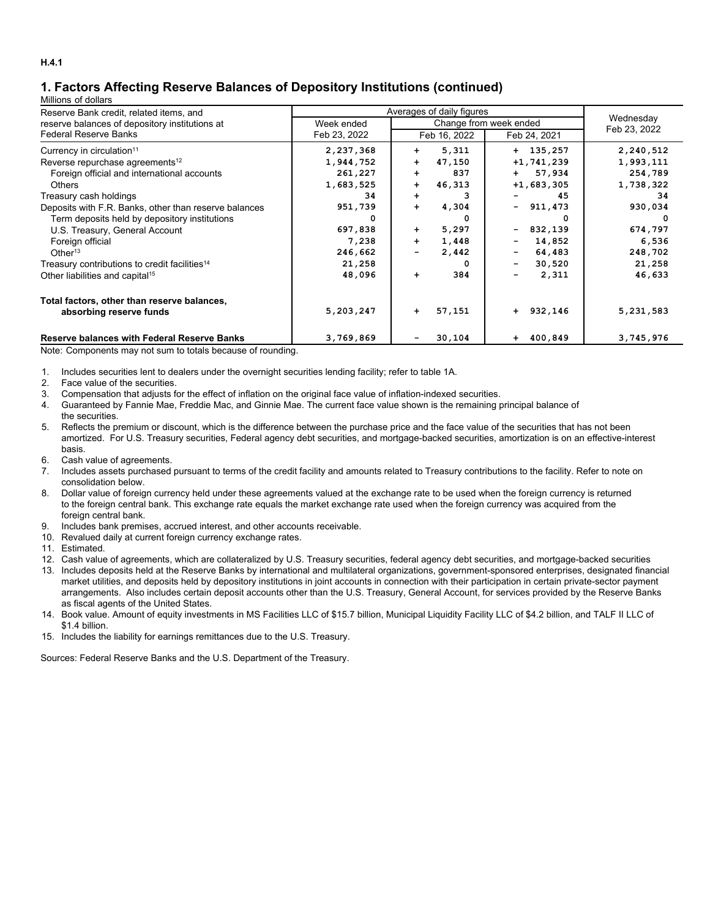# **1. Factors Affecting Reserve Balances of Depository Institutions (continued)**

#### Millions of dollars

| Reserve Bank credit, related items, and                   | Averages of daily figures |                        |                                    |              |  |
|-----------------------------------------------------------|---------------------------|------------------------|------------------------------------|--------------|--|
| reserve balances of depository institutions at            | Week ended                | Change from week ended | Wednesday                          |              |  |
| Federal Reserve Banks                                     | Feb 23, 2022              | Feb 16, 2022           | Feb 24, 2021                       | Feb 23, 2022 |  |
| Currency in circulation <sup>11</sup>                     | 2,237,368                 | 5,311<br>$+$           | $+ 135, 257$                       | 2,240,512    |  |
| Reverse repurchase agreements <sup>12</sup>               | 1,944,752                 | 47,150<br>$+$          | $+1, 741, 239$                     | 1,993,111    |  |
| Foreign official and international accounts               | 261,227                   | 837<br>$+$             | 57,934<br>$+$ $-$                  | 254,789      |  |
| <b>Others</b>                                             | 1,683,525                 | 46,313<br>$\ddot{}$    | $+1,683,305$                       | 1,738,322    |  |
| Treasury cash holdings                                    | 34                        | з<br>$\ddot{}$         | 45                                 | 34           |  |
| Deposits with F.R. Banks, other than reserve balances     | 951,739                   | 4,304<br>$+$           | $-911,473$                         | 930,034      |  |
| Term deposits held by depository institutions             | 0                         | n                      | 0                                  |              |  |
| U.S. Treasury, General Account                            | 697,838                   | 5,297<br>$\ddot{}$     | 832,139<br>$\blacksquare$          | 674,797      |  |
| Foreign official                                          | 7,238                     | 1,448<br>$\ddot{}$     | 14,852<br>$\overline{\phantom{m}}$ | 6,536        |  |
| Other <sup>13</sup>                                       | 246,662                   | 2,442                  | 64,483                             | 248,702      |  |
| Treasury contributions to credit facilities <sup>14</sup> | 21,258                    |                        | 30,520<br>$\overline{\phantom{a}}$ | 21,258       |  |
| Other liabilities and capital <sup>15</sup>               | 48,096                    | 384<br>$+$             | 2,311<br>$\overline{\phantom{0}}$  | 46,633       |  |
| Total factors, other than reserve balances,               |                           |                        |                                    |              |  |
| absorbing reserve funds                                   | 5,203,247                 | 57,151<br>$\ddot{}$    | $+ 932, 146$                       | 5,231,583    |  |
| <b>Reserve balances with Federal Reserve Banks</b>        | 3,769,869                 | 30,104                 | 400,849<br>$+$                     | 3,745,976    |  |

Note: Components may not sum to totals because of rounding.

1. Includes securities lent to dealers under the overnight securities lending facility; refer to table 1A.

2. Face value of the securities.

3. Compensation that adjusts for the effect of inflation on the original face value of inflation-indexed securities.

4. Guaranteed by Fannie Mae, Freddie Mac, and Ginnie Mae. The current face value shown is the remaining principal balance of the securities.

5. Reflects the premium or discount, which is the difference between the purchase price and the face value of the securities that has not been amortized. For U.S. Treasury securities, Federal agency debt securities, and mortgage-backed securities, amortization is on an effective-interest basis.

- 6. Cash value of agreements.
- 7. Includes assets purchased pursuant to terms of the credit facility and amounts related to Treasury contributions to the facility. Refer to note on consolidation below.
- 8. Dollar value of foreign currency held under these agreements valued at the exchange rate to be used when the foreign currency is returned to the foreign central bank. This exchange rate equals the market exchange rate used when the foreign currency was acquired from the foreign central bank.
- 9. Includes bank premises, accrued interest, and other accounts receivable.
- 10. Revalued daily at current foreign currency exchange rates.
- 11. Estimated.

12. Cash value of agreements, which are collateralized by U.S. Treasury securities, federal agency debt securities, and mortgage-backed securities

- 13. Includes deposits held at the Reserve Banks by international and multilateral organizations, government-sponsored enterprises, designated financial market utilities, and deposits held by depository institutions in joint accounts in connection with their participation in certain private-sector payment arrangements. Also includes certain deposit accounts other than the U.S. Treasury, General Account, for services provided by the Reserve Banks as fiscal agents of the United States.
- 14. Book value. Amount of equity investments in MS Facilities LLC of \$15.7 billion, Municipal Liquidity Facility LLC of \$4.2 billion, and TALF II LLC of \$1.4 billion.
- 15. Includes the liability for earnings remittances due to the U.S. Treasury.

Sources: Federal Reserve Banks and the U.S. Department of the Treasury.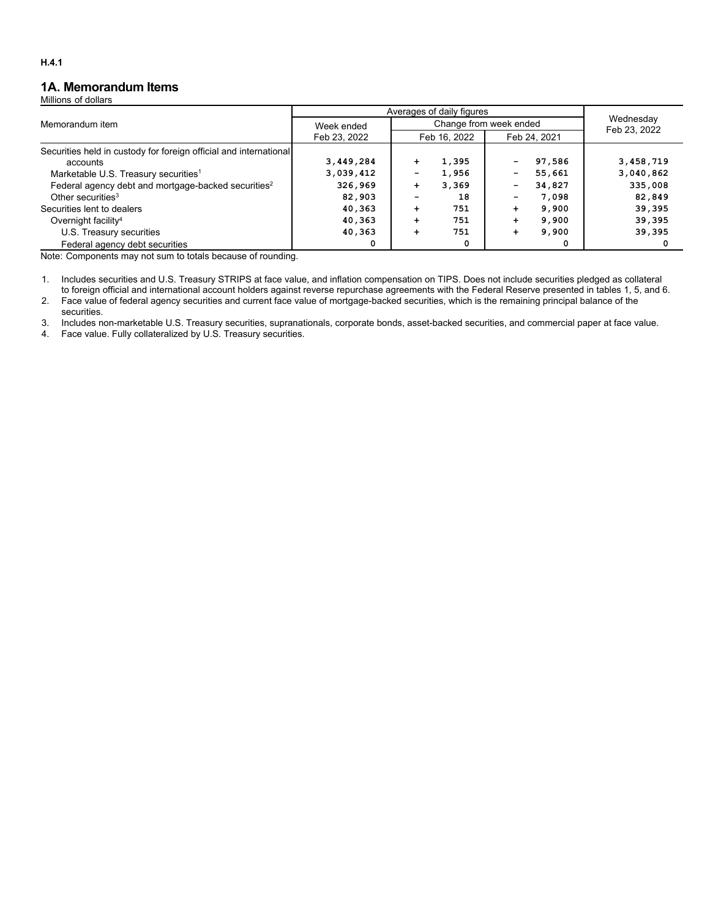## **1A. Memorandum Items**

Millions of dollars

|                                                                   | Averages of daily figures |           |                        |                           |              |           |
|-------------------------------------------------------------------|---------------------------|-----------|------------------------|---------------------------|--------------|-----------|
| Memorandum item                                                   | Week ended                |           | Change from week ended | Wednesday<br>Feb 23, 2022 |              |           |
|                                                                   | Feb 23, 2022              |           | Feb 16, 2022           |                           | Feb 24, 2021 |           |
| Securities held in custody for foreign official and international |                           |           |                        |                           |              |           |
| accounts                                                          | 3,449,284                 | $+$       | 1,395                  |                           | 97,586       | 3,458,719 |
| Marketable U.S. Treasury securities <sup>1</sup>                  | 3,039,412                 |           | 1,956                  | -                         | 55,661       | 3,040,862 |
| Federal agency debt and mortgage-backed securities <sup>2</sup>   | 326,969                   | $\ddot{}$ | 3,369                  | -                         | 34,827       | 335,008   |
| Other securities <sup>3</sup>                                     | 82,903                    |           | 18                     |                           | 7,098        | 82,849    |
| Securities lent to dealers                                        | 40,363                    | $\div$    | 751                    | ÷                         | 9,900        | 39,395    |
| Overnight facility <sup>4</sup>                                   | 40,363                    | $\div$    | 751                    | ÷                         | 9,900        | 39,395    |
| U.S. Treasury securities                                          | 40,363                    | $\div$    | 751                    | ÷                         | 9,900        | 39,395    |
| Federal agency debt securities                                    | 0                         |           | 0                      |                           | o            |           |

Note: Components may not sum to totals because of rounding.

1. Includes securities and U.S. Treasury STRIPS at face value, and inflation compensation on TIPS. Does not include securities pledged as collateral to foreign official and international account holders against reverse repurchase agreements with the Federal Reserve presented in tables 1, 5, and 6.

2. Face value of federal agency securities and current face value of mortgage-backed securities, which is the remaining principal balance of the securities.

3. Includes non-marketable U.S. Treasury securities, supranationals, corporate bonds, asset-backed securities, and commercial paper at face value.

4. Face value. Fully collateralized by U.S. Treasury securities.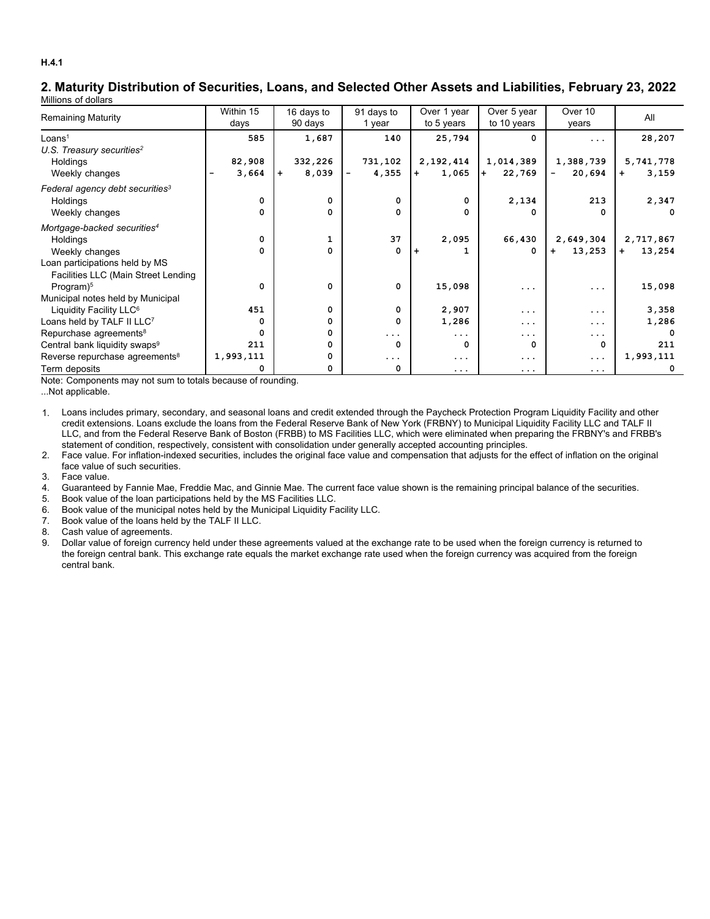### **2. Maturity Distribution of Securities, Loans, and Selected Other Assets and Liabilities, February 23, 2022** Millions of dollars

|                                             | Within 15 | 16 days to   | 91 days to | Over 1 year  | Over 5 year   | Over 10     | All           |
|---------------------------------------------|-----------|--------------|------------|--------------|---------------|-------------|---------------|
| <b>Remaining Maturity</b>                   | days      | 90 days      | 1 year     | to 5 years   | to 10 years   | years       |               |
| Loans <sup>1</sup>                          | 585       | 1,687        | 140        | 25,794       | $\Omega$      | .           | 28,207        |
| U.S. Treasury securities <sup>2</sup>       |           |              |            |              |               |             |               |
| Holdings                                    | 82,908    | 332,226      | 731,102    | 2,192,414    | 1,014,389     | 1,388,739   | 5,741,778     |
| Weekly changes                              | 3,664     | 8,039<br>$+$ | 4,355      | 1,065<br>$+$ | 22,769<br>$+$ | 20,694      | 3,159<br>$+$  |
| Federal agency debt securities <sup>3</sup> |           |              |            |              |               |             |               |
| Holdings                                    | 0         | 0            | 0          | 0            | 2,134         | 213         | 2,347         |
| Weekly changes                              | 0         | 0            | 0          | 0            | 0             | 0           | $\Omega$      |
| Mortgage-backed securities <sup>4</sup>     |           |              |            |              |               |             |               |
| Holdings                                    | 0         | $\mathbf{1}$ | 37         | 2,095        | 66,430        | 2,649,304   | 2,717,867     |
| Weekly changes                              | 0         | 0            | 0          |              | $\Omega$      | 13,253<br>÷ | 13,254<br>$+$ |
| Loan participations held by MS              |           |              |            |              |               |             |               |
| Facilities LLC (Main Street Lending         |           |              |            |              |               |             |               |
| Program) <sup>5</sup>                       | 0         | 0            | 0          | 15,098       | $\cdots$      | .           | 15,098        |
| Municipal notes held by Municipal           |           |              |            |              |               |             |               |
| Liquidity Facility LLC <sup>6</sup>         | 451       | $\Omega$     | $\Omega$   | 2,907        | .             | .           | 3,358         |
| Loans held by TALF II LLC7                  | 0         | 0            | 0          | 1,286        | $\cdots$      | .           | 1,286         |
| Repurchase agreements <sup>8</sup>          | 0         | 0            | $\cdots$   | .            | $\cdots$      | .           |               |
| Central bank liquidity swaps <sup>9</sup>   | 211       | 0            | 0          | 0            | 0             | 0           | 211           |
| Reverse repurchase agreements <sup>8</sup>  | 1,993,111 |              | $\ddotsc$  | .            | $\cdots$      | .           | 1,993,111     |
| Term deposits                               |           |              | 0          | .            | $\cdots$      | .           |               |

Note: Components may not sum to totals because of rounding.

...Not applicable.

1. Loans includes primary, secondary, and seasonal loans and credit extended through the Paycheck Protection Program Liquidity Facility and other credit extensions. Loans exclude the loans from the Federal Reserve Bank of New York (FRBNY) to Municipal Liquidity Facility LLC and TALF II LLC, and from the Federal Reserve Bank of Boston (FRBB) to MS Facilities LLC, which were eliminated when preparing the FRBNY's and FRBB's statement of condition, respectively, consistent with consolidation under generally accepted accounting principles.

2. Face value. For inflation-indexed securities, includes the original face value and compensation that adjusts for the effect of inflation on the original face value of such securities.

3. Face value.

- 4. Guaranteed by Fannie Mae, Freddie Mac, and Ginnie Mae. The current face value shown is the remaining principal balance of the securities.
- 5. Book value of the loan participations held by the MS Facilities LLC.
- 6. Book value of the municipal notes held by the Municipal Liquidity Facility LLC.
- 7. Book value of the loans held by the TALF II LLC.

8. Cash value of agreements.

9. Dollar value of foreign currency held under these agreements valued at the exchange rate to be used when the foreign currency is returned to the foreign central bank. This exchange rate equals the market exchange rate used when the foreign currency was acquired from the foreign central bank.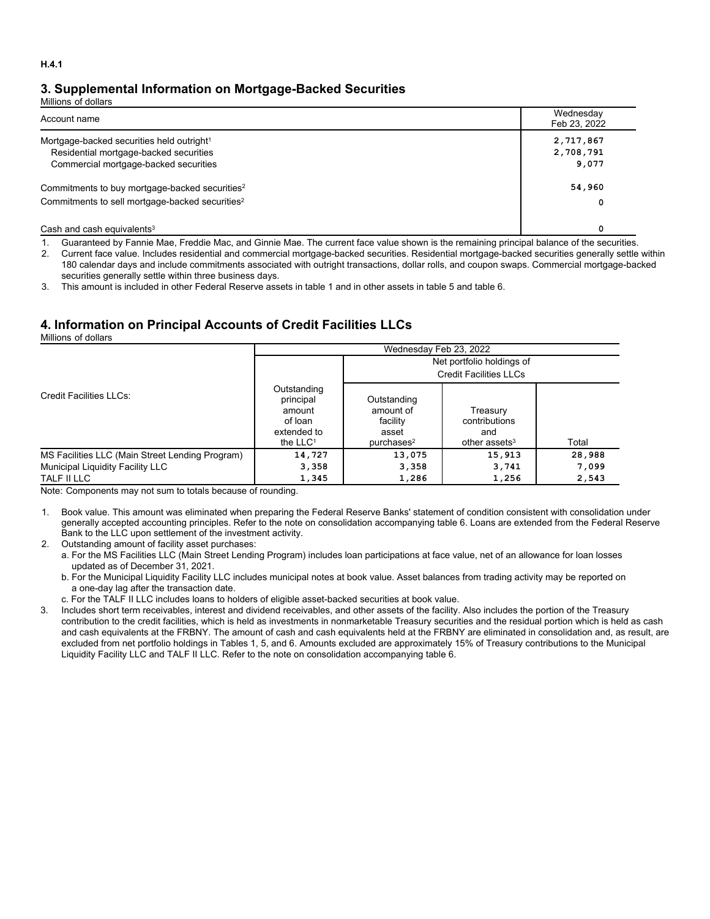# **3. Supplemental Information on Mortgage-Backed Securities**

Millions of dollars

| Account name                                                | Wednesday<br>Feb 23, 2022 |
|-------------------------------------------------------------|---------------------------|
| Mortgage-backed securities held outright <sup>1</sup>       | 2,717,867                 |
| Residential mortgage-backed securities                      | 2,708,791                 |
| Commercial mortgage-backed securities                       | 9,077                     |
| Commitments to buy mortgage-backed securities <sup>2</sup>  | 54,960                    |
| Commitments to sell mortgage-backed securities <sup>2</sup> | 0                         |
| Cash and cash equivalents $3$                               | 0                         |

1. Guaranteed by Fannie Mae, Freddie Mac, and Ginnie Mae. The current face value shown is the remaining principal balance of the securities.

2. Current face value. Includes residential and commercial mortgage-backed securities. Residential mortgage-backed securities generally settle within 180 calendar days and include commitments associated with outright transactions, dollar rolls, and coupon swaps. Commercial mortgage-backed securities generally settle within three business days.

3. This amount is included in other Federal Reserve assets in table 1 and in other assets in table 5 and table 6.

# **4. Information on Principal Accounts of Credit Facilities LLCs**

Millions of dollars

|                                                 |                                                                            | Wednesday Feb 23, 2022                                                  |                                                               |        |  |  |  |  |
|-------------------------------------------------|----------------------------------------------------------------------------|-------------------------------------------------------------------------|---------------------------------------------------------------|--------|--|--|--|--|
|                                                 |                                                                            |                                                                         | Net portfolio holdings of                                     |        |  |  |  |  |
|                                                 |                                                                            |                                                                         | <b>Credit Facilities LLCs</b>                                 |        |  |  |  |  |
| <b>Credit Facilities LLCs:</b>                  | Outstanding<br>principal<br>amount<br>of loan<br>extended to<br>the $LLC1$ | Outstanding<br>amount of<br>facility<br>asset<br>purchases <sup>2</sup> | Treasury<br>contributions<br>and<br>other assets <sup>3</sup> | Total  |  |  |  |  |
| MS Facilities LLC (Main Street Lending Program) | 14,727                                                                     | 13,075                                                                  | 15,913                                                        | 28,988 |  |  |  |  |
| Municipal Liquidity Facility LLC                | 3,358                                                                      | 3,358                                                                   | 3,741                                                         | 7,099  |  |  |  |  |
| TALF II LLC                                     | 1,345<br>1,286<br>1,256                                                    |                                                                         |                                                               |        |  |  |  |  |

Note: Components may not sum to totals because of rounding.

1. Book value. This amount was eliminated when preparing the Federal Reserve Banks' statement of condition consistent with consolidation under generally accepted accounting principles. Refer to the note on consolidation accompanying table 6. Loans are extended from the Federal Reserve Bank to the LLC upon settlement of the investment activity.

2. Outstanding amount of facility asset purchases:

a. For the MS Facilities LLC (Main Street Lending Program) includes loan participations at face value, net of an allowance for loan losses updated as of December 31, 2021.

b. For the Municipal Liquidity Facility LLC includes municipal notes at book value. Asset balances from trading activity may be reported on a one-day lag after the transaction date.

c. For the TALF II LLC includes loans to holders of eligible asset-backed securities at book value.

3. Includes short term receivables, interest and dividend receivables, and other assets of the facility. Also includes the portion of the Treasury contribution to the credit facilities, which is held as investments in nonmarketable Treasury securities and the residual portion which is held as cash and cash equivalents at the FRBNY. The amount of cash and cash equivalents held at the FRBNY are eliminated in consolidation and, as result, are excluded from net portfolio holdings in Tables 1, 5, and 6. Amounts excluded are approximately 15% of Treasury contributions to the Municipal Liquidity Facility LLC and TALF II LLC. Refer to the note on consolidation accompanying table 6.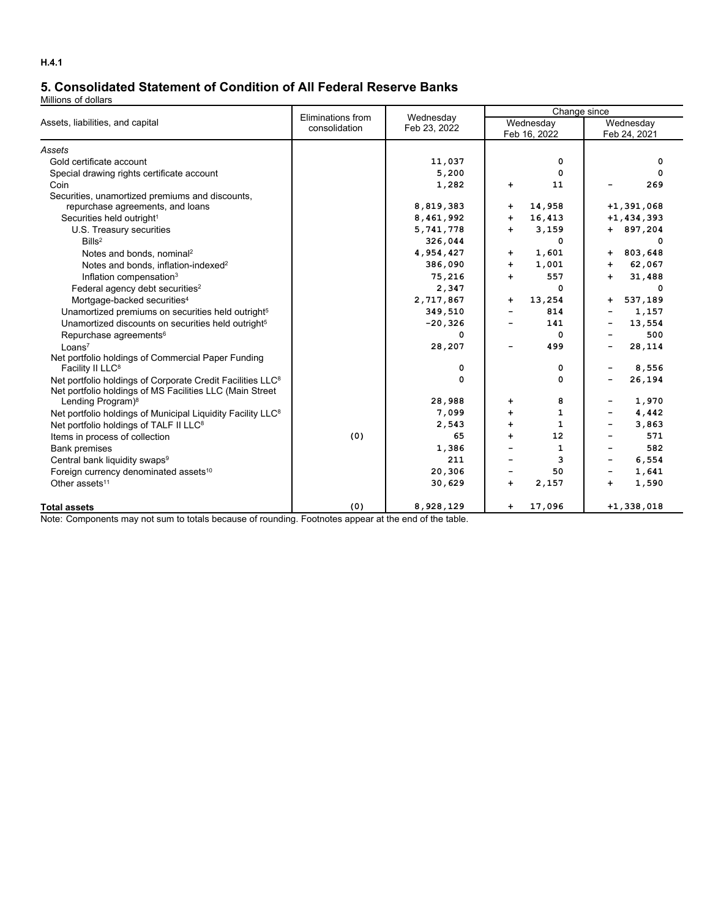# **5. Consolidated Statement of Condition of All Federal Reserve Banks**

Millions of dollars

|                                                                           | Eliminations from | Wednesday    | Change since         |                           |                              |                  |  |  |
|---------------------------------------------------------------------------|-------------------|--------------|----------------------|---------------------------|------------------------------|------------------|--|--|
| Assets, liabilities, and capital                                          | consolidation     | Feb 23, 2022 |                      | Wednesday<br>Feb 16, 2022 |                              | Wednesday        |  |  |
|                                                                           |                   |              |                      |                           |                              | Feb 24, 2021     |  |  |
| Assets                                                                    |                   |              |                      |                           |                              |                  |  |  |
| Gold certificate account                                                  |                   | 11,037       |                      | 0<br>0                    |                              | 0<br>$\mathbf 0$ |  |  |
| Special drawing rights certificate account                                |                   | 5,200        |                      |                           |                              |                  |  |  |
| Coin                                                                      |                   | 1,282        | $\ddot{}$            | 11                        |                              | 269              |  |  |
| Securities, unamortized premiums and discounts,                           |                   | 8,819,383    | +                    | 14,958                    |                              | $+1,391,068$     |  |  |
| repurchase agreements, and loans<br>Securities held outright <sup>1</sup> |                   | 8,461,992    | $\ddot{}$            | 16,413                    |                              | $+1, 434, 393$   |  |  |
|                                                                           |                   | 5,741,778    | ÷                    | 3,159                     |                              | $+ 897,204$      |  |  |
| U.S. Treasury securities<br>Bills <sup>2</sup>                            |                   |              |                      | 0                         |                              | 0                |  |  |
|                                                                           |                   | 326,044      |                      |                           |                              |                  |  |  |
| Notes and bonds, nominal <sup>2</sup>                                     |                   | 4,954,427    | +                    | 1,601                     | $\ddot{}$                    | 803,648          |  |  |
| Notes and bonds, inflation-indexed <sup>2</sup>                           |                   | 386,090      | $+$                  | 1,001                     | $+$                          | 62,067           |  |  |
| Inflation compensation <sup>3</sup>                                       |                   | 75,216       | $+$                  | 557                       | $+$                          | 31,488           |  |  |
| Federal agency debt securities <sup>2</sup>                               |                   | 2,347        |                      | 0                         |                              | 0                |  |  |
| Mortgage-backed securities <sup>4</sup>                                   |                   | 2,717,867    | $+$                  | 13,254                    | +                            | 537,189          |  |  |
| Unamortized premiums on securities held outright <sup>5</sup>             |                   | 349,510      |                      | 814                       |                              | 1,157            |  |  |
| Unamortized discounts on securities held outright <sup>5</sup>            |                   | $-20,326$    |                      | 141                       |                              | 13,554           |  |  |
| Repurchase agreements <sup>6</sup>                                        |                   | 0            |                      | 0                         |                              | 500              |  |  |
| Loans <sup>7</sup>                                                        |                   | 28,207       |                      | 499                       | $\overline{\phantom{a}}$     | 28,114           |  |  |
| Net portfolio holdings of Commercial Paper Funding                        |                   |              |                      |                           |                              |                  |  |  |
| Facility II LLC <sup>8</sup>                                              |                   | 0            |                      | 0                         | $\overline{\phantom{a}}$     | 8,556            |  |  |
| Net portfolio holdings of Corporate Credit Facilities LLC <sup>8</sup>    |                   | 0            |                      | 0                         | -                            | 26,194           |  |  |
| Net portfolio holdings of MS Facilities LLC (Main Street                  |                   |              |                      |                           |                              |                  |  |  |
| Lending Program) <sup>8</sup>                                             |                   | 28,988       | $\ddot{}$            | 8                         |                              | 1,970            |  |  |
| Net portfolio holdings of Municipal Liquidity Facility LLC <sup>8</sup>   |                   | 7,099        | $+$                  | 1                         | $\overline{\phantom{a}}$     | 4,442            |  |  |
| Net portfolio holdings of TALF II LLC <sup>8</sup>                        |                   | 2,543        | $\ddot{\phantom{1}}$ | 1                         |                              | 3,863            |  |  |
| Items in process of collection                                            | (0)               | 65           | $\ddot{\phantom{1}}$ | 12                        |                              | 571              |  |  |
| <b>Bank premises</b>                                                      |                   | 1,386        |                      | 1                         |                              | 582              |  |  |
| Central bank liquidity swaps <sup>9</sup>                                 |                   | 211          |                      | 3                         | $\qquad \qquad \blacksquare$ | 6,554            |  |  |
| Foreign currency denominated assets <sup>10</sup>                         |                   | 20,306       |                      | 50                        | -                            | 1,641            |  |  |
| Other assets <sup>11</sup>                                                |                   | 30,629       | $+$                  | 2,157                     | $+$                          | 1,590            |  |  |
| <b>Total assets</b>                                                       | (0)               | 8,928,129    | $\ddot{}$            | 17,096                    |                              | $+1,338,018$     |  |  |

Note: Components may not sum to totals because of rounding. Footnotes appear at the end of the table.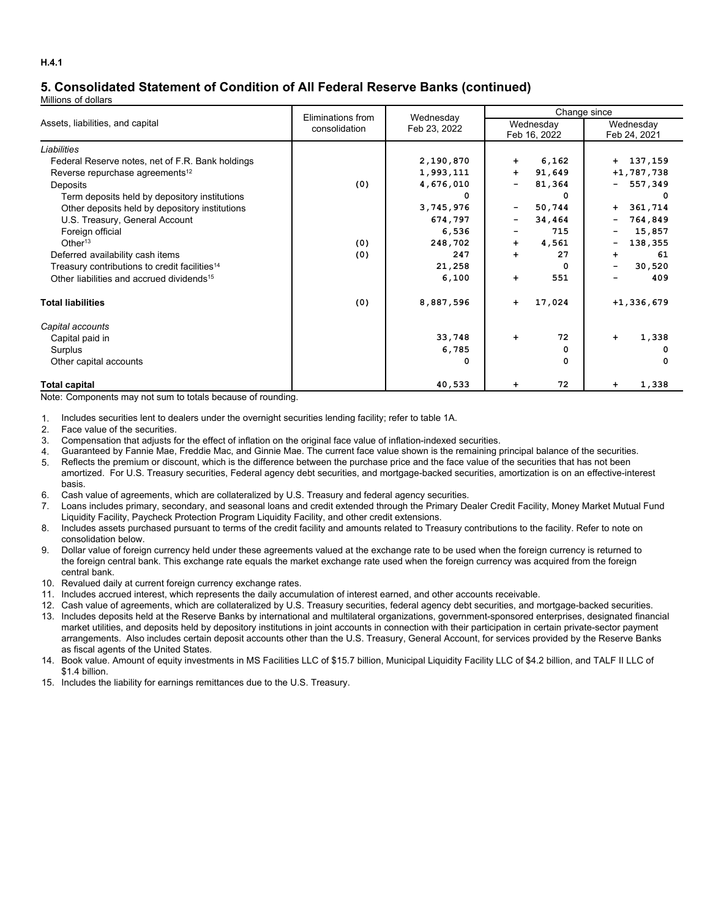# **5. Consolidated Statement of Condition of All Federal Reserve Banks (continued)**

Millions of dollars

|                                                           | Eliminations from | Wednesday    | Change since                           |                           |  |  |  |
|-----------------------------------------------------------|-------------------|--------------|----------------------------------------|---------------------------|--|--|--|
| Assets, liabilities, and capital                          | consolidation     | Feb 23, 2022 | Wednesday<br>Feb 16, 2022              | Wednesday<br>Feb 24, 2021 |  |  |  |
| Liabilities                                               |                   |              |                                        |                           |  |  |  |
| Federal Reserve notes, net of F.R. Bank holdings          |                   | 2,190,870    | 6,162<br>$\ddot{\phantom{1}}$          | $+ 137,159$               |  |  |  |
| Reverse repurchase agreements <sup>12</sup>               |                   | 1,993,111    | 91,649<br>$\ddot{}$                    | $+1, 787, 738$            |  |  |  |
| Deposits                                                  | (0)               | 4,676,010    | 81,364<br>$\overline{\phantom{0}}$     | 557,349<br>۰.             |  |  |  |
| Term deposits held by depository institutions             |                   | O            | $\Omega$                               |                           |  |  |  |
| Other deposits held by depository institutions            |                   | 3,745,976    | 50,744<br>$\qquad \qquad \blacksquare$ | 361,714<br>$+$            |  |  |  |
| U.S. Treasury, General Account                            |                   | 674,797      | 34,464<br>$\overline{\phantom{a}}$     | 764,849<br>-              |  |  |  |
| Foreign official                                          |                   | 6,536        | 715<br>$\overline{\phantom{a}}$        | 15,857                    |  |  |  |
| Other <sup>13</sup>                                       | (0)               | 248,702      | 4,561<br>$\ddot{\phantom{1}}$          | 138,355<br>-              |  |  |  |
| Deferred availability cash items                          | (0)               | 247          | 27<br>$+$                              | 61<br>$\ddot{}$           |  |  |  |
| Treasury contributions to credit facilities <sup>14</sup> |                   | 21,258       | 0                                      | 30,520                    |  |  |  |
| Other liabilities and accrued dividends <sup>15</sup>     |                   | 6,100        | 551<br>$\ddot{\phantom{1}}$            | 409                       |  |  |  |
| <b>Total liabilities</b>                                  | (0)               | 8,887,596    | 17,024<br>$\ddot{\phantom{1}}$         | $+1,336,679$              |  |  |  |
| Capital accounts                                          |                   |              |                                        |                           |  |  |  |
| Capital paid in                                           |                   | 33,748       | 72<br>$+$                              | 1,338<br>$\ddot{}$        |  |  |  |
| Surplus                                                   |                   | 6,785        | 0                                      | 0                         |  |  |  |
| Other capital accounts                                    |                   | 0            | 0                                      |                           |  |  |  |
| <b>Total capital</b>                                      |                   | 40,533       | 72<br>$\ddot{\phantom{1}}$             | 1,338                     |  |  |  |

Note: Components may not sum to totals because of rounding.

1. Includes securities lent to dealers under the overnight securities lending facility; refer to table 1A.

- 2. Face value of the securities.
- 3. Compensation that adjusts for the effect of inflation on the original face value of inflation-indexed securities.
- 4. Guaranteed by Fannie Mae, Freddie Mac, and Ginnie Mae. The current face value shown is the remaining principal balance of the securities.
- 5. Reflects the premium or discount, which is the difference between the purchase price and the face value of the securities that has not been amortized. For U.S. Treasury securities, Federal agency debt securities, and mortgage-backed securities, amortization is on an effective-interest basis.
- 6. Cash value of agreements, which are collateralized by U.S. Treasury and federal agency securities.
- 7. Loans includes primary, secondary, and seasonal loans and credit extended through the Primary Dealer Credit Facility, Money Market Mutual Fund Liquidity Facility, Paycheck Protection Program Liquidity Facility, and other credit extensions.
- 8. Includes assets purchased pursuant to terms of the credit facility and amounts related to Treasury contributions to the facility. Refer to note on consolidation below.
- 9. Dollar value of foreign currency held under these agreements valued at the exchange rate to be used when the foreign currency is returned to the foreign central bank. This exchange rate equals the market exchange rate used when the foreign currency was acquired from the foreign central bank.
- 10. Revalued daily at current foreign currency exchange rates.
- 11. Includes accrued interest, which represents the daily accumulation of interest earned, and other accounts receivable.
- 12. Cash value of agreements, which are collateralized by U.S. Treasury securities, federal agency debt securities, and mortgage-backed securities.
- 13. Includes deposits held at the Reserve Banks by international and multilateral organizations, government-sponsored enterprises, designated financial market utilities, and deposits held by depository institutions in joint accounts in connection with their participation in certain private-sector payment arrangements. Also includes certain deposit accounts other than the U.S. Treasury, General Account, for services provided by the Reserve Banks as fiscal agents of the United States.
- 14. Book value. Amount of equity investments in MS Facilities LLC of \$15.7 billion, Municipal Liquidity Facility LLC of \$4.2 billion, and TALF II LLC of \$1.4 billion.
- 15. Includes the liability for earnings remittances due to the U.S. Treasury.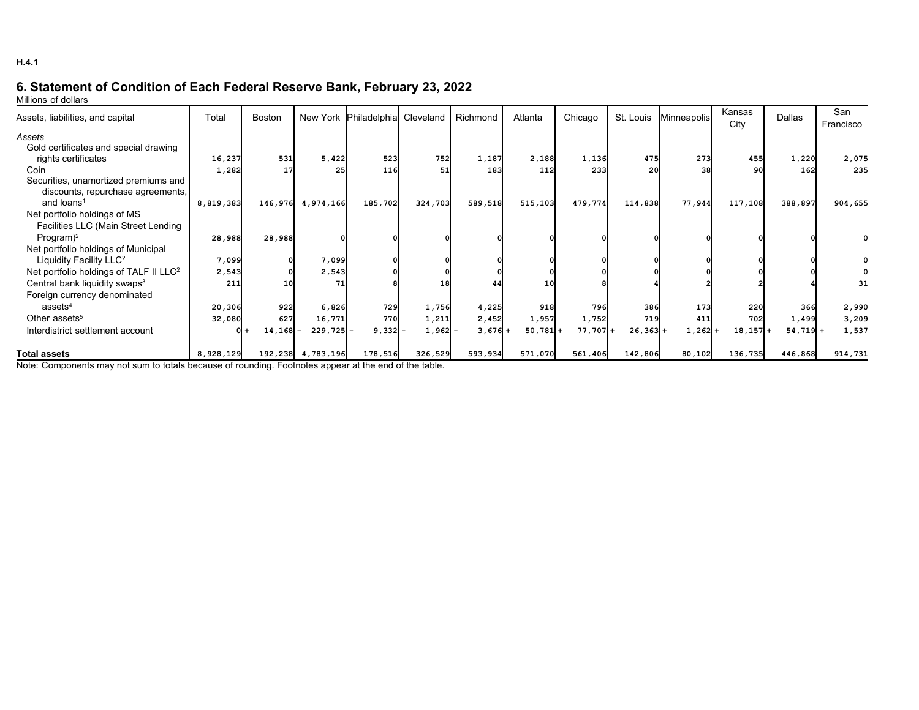# **6. Statement of Condition of Each Federal Reserve Bank, February 23, 2022**

Millions of dollars

| Assets, liabilities, and capital                   | Total     | <b>Boston</b> | New York  | Philadelphia Cleveland |         | Richmond | Atlanta    | Chicago   | St. Louis | Minneapolis | Kansas<br>City | Dallas    | San<br>Francisco |
|----------------------------------------------------|-----------|---------------|-----------|------------------------|---------|----------|------------|-----------|-----------|-------------|----------------|-----------|------------------|
| Assets                                             |           |               |           |                        |         |          |            |           |           |             |                |           |                  |
| Gold certificates and special drawing              |           |               |           |                        |         |          |            |           |           |             |                |           |                  |
| rights certificates                                | 16,237    | 531           | 5,422     | 523                    | 752     | 1,187    | 2,188      | 1,136     | 475       | 273         | 455            | 1,220     | 2,075            |
| Coin                                               | 1,282     | 17            | 25        | 116                    | 51      | 183      | 112        | 233       | 20        | 38          | 90             | 162       | 235              |
| Securities, unamortized premiums and               |           |               |           |                        |         |          |            |           |           |             |                |           |                  |
| discounts, repurchase agreements,                  |           |               |           |                        |         |          |            |           |           |             |                |           |                  |
| and loans <sup>1</sup>                             | 8,819,383 | 146,976       | 4,974,166 | 185,702                | 324,703 | 589,518  | 515,103    | 479,774   | 114,838   | 77,944      | 117,108        | 388,897   | 904,655          |
| Net portfolio holdings of MS                       |           |               |           |                        |         |          |            |           |           |             |                |           |                  |
| Facilities LLC (Main Street Lending                |           |               |           |                        |         |          |            |           |           |             |                |           |                  |
| Program $)^2$                                      | 28,988    | 28,988        |           |                        |         |          |            |           |           |             |                |           |                  |
| Net portfolio holdings of Municipal                |           |               |           |                        |         |          |            |           |           |             |                |           |                  |
| Liquidity Facility LLC <sup>2</sup>                | 7,099     |               | 7,099     |                        |         |          |            |           |           |             |                |           |                  |
| Net portfolio holdings of TALF II LLC <sup>2</sup> | 2,543     |               | 2,543     |                        |         |          |            |           |           |             |                |           |                  |
| Central bank liquidity swaps <sup>3</sup>          | 211       |               | 71        |                        |         | 44       | 10         |           |           |             |                |           | 31               |
| Foreign currency denominated                       |           |               |           |                        |         |          |            |           |           |             |                |           |                  |
| assets <sup>4</sup>                                | 20,306    | 922           | 6,826     | 729                    | 1,756   | 4,225    | 918        | 796       | 386       | 173         | 22C            | 366       | 2,990            |
| Other assets <sup>5</sup>                          | 32,080    | 627           | 16,771    | 770                    | 1,211   | 2,452    | 1,957      | 1,752     | 719       | 411         | 702            | 1,499     | 3,209            |
| Interdistrict settlement account                   |           | $14, 168 -$   | 229,725   | 9,332                  | 1,962   | $3,676+$ | $50,781 +$ | $77,707+$ | $26,363+$ | $1,262$ +   | 18,157         | $54,719+$ | 1,537            |
| <b>Total assets</b>                                | 8,928,129 | 192,238       | 4,783,196 | 178,516                | 326,529 | 593,934  | 571,070    | 561,406   | 142,806   | 80,102      | 136,735        | 446,868   | 914,731          |

Note: Components may not sum to totals because of rounding. Footnotes appear at the end of the table.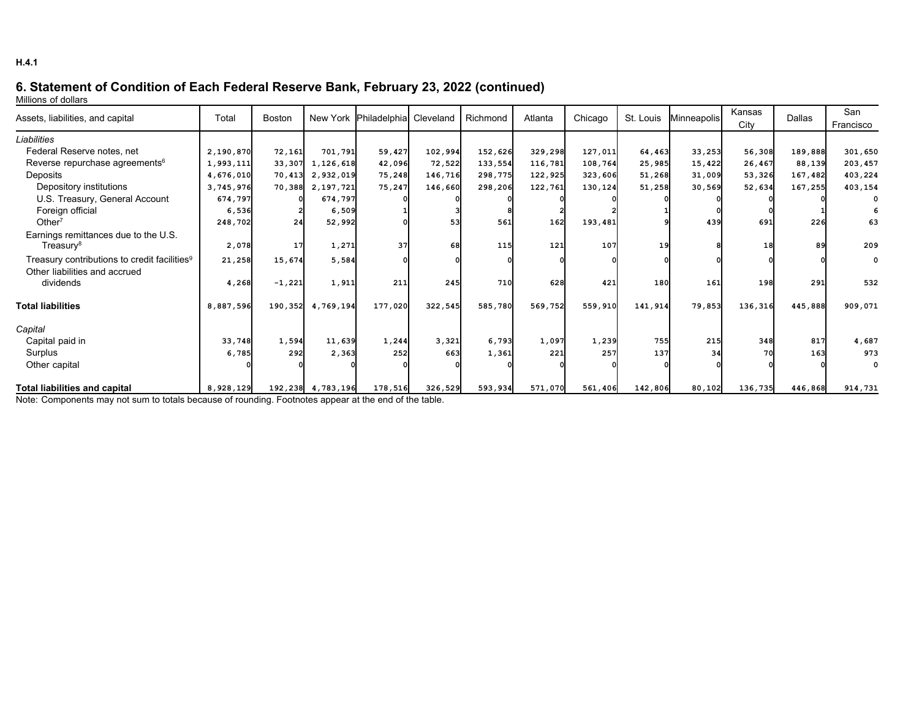# **6. Statement of Condition of Each Federal Reserve Bank, February 23, 2022 (continued)**

Millions of dollars

| Assets, liabilities, and capital                                                          | Total     | <b>Boston</b> | New York Philadelphia Cleveland |         |         | Richmond | Atlanta | Chicago | St. Louis  | Minneapolis | Kansas  | <b>Dallas</b> | San         |
|-------------------------------------------------------------------------------------------|-----------|---------------|---------------------------------|---------|---------|----------|---------|---------|------------|-------------|---------|---------------|-------------|
|                                                                                           |           |               |                                 |         |         |          |         |         |            |             | City    |               | Francisco   |
| Liabilities                                                                               |           |               |                                 |         |         |          |         |         |            |             |         |               |             |
| Federal Reserve notes, net                                                                | 2,190,870 | 72,161        | 701,791                         | 59,427  | 102,994 | 152,626  | 329,298 | 127,011 | 64,463     | 33,253      | 56,308  | 189,888       | 301,650     |
| Reverse repurchase agreements <sup>6</sup>                                                | 1,993,111 | 33,307        | 1,126,618                       | 42,096  | 72,522  | 133,554  | 116,781 | 108,764 | 25,985     | 15,422      | 26,467  | 88,139        | 203,457     |
| Deposits                                                                                  | 4,676,010 | 70,413        | 2,932,019                       | 75,248  | 146,716 | 298,775  | 122,925 | 323,606 | 51,268     | 31,009      | 53,326  | 167,482       | 403,224     |
| Depository institutions                                                                   | 3,745,976 |               | 70,388 2,197,721                | 75,247  | 146,660 | 298,206  | 122,761 | 130,124 | 51,258     | 30,569      | 52,634  | 167,255       | 403,154     |
| U.S. Treasury, General Account                                                            | 674,797   |               | 674,797                         |         |         |          |         |         |            |             |         |               |             |
| Foreign official                                                                          | 6,536     |               | 6,509                           |         |         |          |         |         |            |             |         |               |             |
| Other $7$                                                                                 | 248,702   | 24            | 52,992                          |         | 53      | 561      | 162     | 193,481 |            | 439         | 691     | 226           | 63          |
| Earnings remittances due to the U.S.<br>Treasury <sup>8</sup>                             | 2,078     | <b>17</b>     | 1,271                           | 37      | 68      | 115      | 121     | 107     | 19         |             | 18      | 89            | 209         |
| Treasury contributions to credit facilities <sup>9</sup><br>Other liabilities and accrued | 21,258    | 15,674        | 5,584                           |         |         |          |         |         |            |             |         |               | $\mathbf 0$ |
| dividends                                                                                 | 4,268     | $-1,221$      | 1,911                           | 211     | 245     | 710      | 628     | 421     | 180        | 161         | 198     | 291           | 532         |
| <b>Total liabilities</b>                                                                  | 8,887,596 | 190,352       | 4,769,194                       | 177,020 | 322,545 | 585,780  | 569,752 | 559,910 | 141,914    | 79,853      | 136,316 | 445,888       | 909,071     |
| Capital                                                                                   |           |               |                                 |         |         |          |         |         |            |             |         |               |             |
| Capital paid in                                                                           | 33,748    | 1,594         | 11,639                          | 1,244   | 3,321   | 6,793    | 1,097   | 1,239   | <b>755</b> | 215         | 348     | 817           | 4,687       |
| Surplus                                                                                   | 6,785     | 292           | 2,363                           | 252     | 663     | 1,361    | 221     | 257     | 137        | 34          | 70      | 163           | 973         |
| Other capital                                                                             |           |               |                                 |         |         |          |         |         |            |             |         |               | $\Omega$    |
| <b>Total liabilities and capital</b>                                                      | 8,928,129 |               | 192, 238 4, 783, 196            | 178,516 | 326,529 | 593,934  | 571,070 | 561,406 | 142,806    | 80,102      | 136,735 | 446,868       | 914,731     |

Note: Components may not sum to totals because of rounding. Footnotes appear at the end of the table.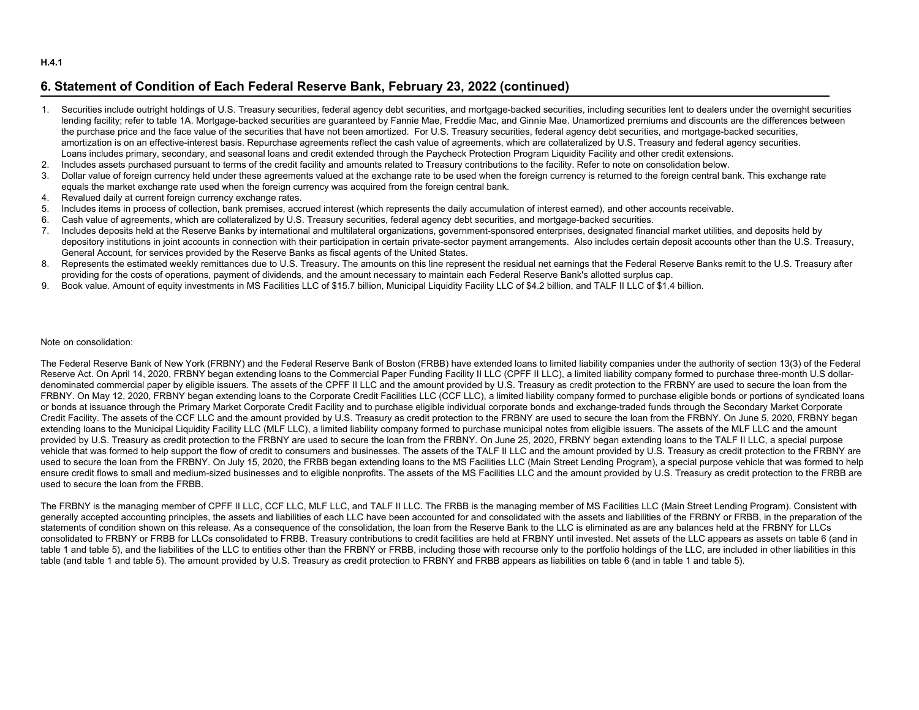#### **H.4.1**

## **6. Statement of Condition of Each Federal Reserve Bank, February 23, 2022 (continued)**

- 1. Securities include outright holdings of U.S. Treasury securities, federal agency debt securities, and mortgage-backed securities, including securities lent to dealers under the overnight securities lending facility; refer to table 1A. Mortgage-backed securities are quaranteed by Fannie Mae, Freddie Mac, and Ginnie Mae. Unamortized premiums and discounts are the differences between the purchase price and the face value of the securities that have not been amortized. For U.S. Treasury securities, federal agency debt securities, and mortgage-backed securities, amortization is on an effective-interest basis. Repurchase agreements reflect the cash value of agreements, which are collateralized by U.S. Treasury and federal agency securities. Loans includes primary, secondary, and seasonal loans and credit extended through the Paycheck Protection Program Liquidity Facility and other credit extensions.
- 2. Includes assets purchased pursuant to terms of the credit facility and amounts related to Treasury contributions to the facility. Refer to note on consolidation below.
- 3. Dollar value of foreign currency held under these agreements valued at the exchange rate to be used when the foreign currency is returned to the foreign central bank. This exchange rate equals the market exchange rate used when the foreign currency was acquired from the foreign central bank.
- 4. Revalued daily at current foreign currency exchange rates.
- 5. Includes items in process of collection, bank premises, accrued interest (which represents the daily accumulation of interest earned), and other accounts receivable.
- 6. Cash value of agreements, which are collateralized by U.S. Treasury securities, federal agency debt securities, and mortgage-backed securities.
- 7. Includes deposits held at the Reserve Banks by international and multilateral organizations, government-sponsored enterprises, designated financial market utilities, and deposits held by depository institutions in joint accounts in connection with their participation in certain private-sector payment arrangements. Also includes certain deposit accounts other than the U.S. Treasury, General Account, for services provided by the Reserve Banks as fiscal agents of the United States.
- 8. Represents the estimated weekly remittances due to U.S. Treasury. The amounts on this line represent the residual net earnings that the Federal Reserve Banks remit to the U.S. Treasury after providing for the costs of operations, payment of dividends, and the amount necessary to maintain each Federal Reserve Bank's allotted surplus cap.
- 9. Book value. Amount of equity investments in MS Facilities LLC of \$15.7 billion, Municipal Liquidity Facility LLC of \$4.2 billion, and TALF II LLC of \$1.4 billion.

#### Note on consolidation:

The Federal Reserve Bank of New York (FRBNY) and the Federal Reserve Bank of Boston (FRBB) have extended loans to limited liability companies under the authority of section 13(3) of the Federal Reserve Act. On April 14, 2020, FRBNY began extending loans to the Commercial Paper Funding Facility II LLC (CPFF II LLC), a limited liability company formed to purchase three-month U.S dollardenominated commercial paper by eligible issuers. The assets of the CPFF II LLC and the amount provided by U.S. Treasury as credit protection to the FRBNY are used to secure the loan from the FRBNY. On May 12, 2020, FRBNY began extending loans to the Corporate Credit Facilities LLC (CCF LLC), a limited liability company formed to purchase eligible bonds or portions of syndicated loans or bonds at issuance through the Primary Market Corporate Credit Facility and to purchase eligible individual corporate bonds and exchange-traded funds through the Secondary Market Corporate Credit Facility. The assets of the CCF LLC and the amount provided by U.S. Treasury as credit protection to the FRBNY are used to secure the loan from the FRBNY. On June 5, 2020, FRBNY began extending loans to the Municipal Liquidity Facility LLC (MLF LLC), a limited liability company formed to purchase municipal notes from eligible issuers. The assets of the MLF LLC and the amount provided by U.S. Treasury as credit protection to the FRBNY are used to secure the loan from the FRBNY. On June 25, 2020, FRBNY began extending loans to the TALF II LLC, a special purpose vehicle that was formed to help support the flow of credit to consumers and businesses. The assets of the TALF II LLC and the amount provided by U.S. Treasury as credit protection to the FRBNY are used to secure the loan from the FRBNY. On July 15, 2020, the FRBB began extending loans to the MS Facilities LLC (Main Street Lending Program), a special purpose vehicle that was formed to help ensure credit flows to small and medium-sized businesses and to eligible nonprofits. The assets of the MS Facilities LLC and the amount provided by U.S. Treasury as credit protection to the FRBB are used to secure the loan from the FRBB.

The FRBNY is the managing member of CPFF II LLC, CCF LLC, MLF LLC, and TALF II LLC. The FRBB is the managing member of MS Facilities LLC (Main Street Lending Program). Consistent with generally accepted accounting principles, the assets and liabilities of each LLC have been accounted for and consolidated with the assets and liabilities of the FRBNY or FRBB, in the preparation of the statements of condition shown on this release. As a consequence of the consolidation, the loan from the Reserve Bank to the LLC is eliminated as are any balances held at the FRBNY for LLCs consolidated to FRBNY or FRBB for LLCs consolidated to FRBB. Treasury contributions to credit facilities are held at FRBNY until invested. Net assets of the LLC appears as assets on table 6 (and in table 1 and table 5), and the liabilities of the LLC to entities other than the FRBNY or FRBB, including those with recourse only to the portfolio holdings of the LLC, are included in other liabilities in this table (and table 1 and table 5). The amount provided by U.S. Treasury as credit protection to FRBNY and FRBB appears as liabilities on table 6 (and in table 1 and table 5).